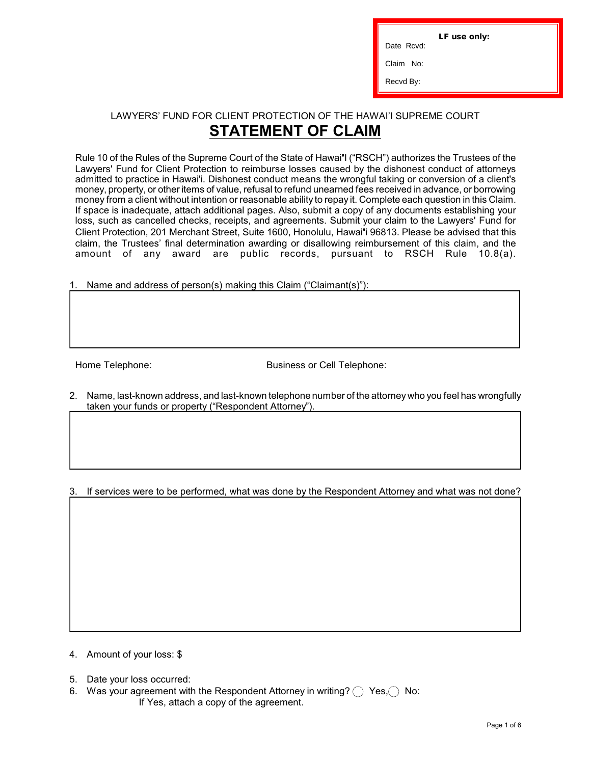LF use only:

ī

Date Rcvd:

Claim No:

Recvd By:

## LAWYERS' FUND FOR CLIENT PROTECTION OF THE HAWAI'I SUPREME COURT **STATEMENT OF CLAIM**

Rule 10 of the Rules of the Supreme Court of the State of Hawai**'**I ("RSCH") authorizes the Trustees of the Lawyers' Fund for Client Protection to reimburse losses caused by the dishonest conduct of attorneys admitted to practice in Hawai'i. Dishonest conduct means the wrongful taking or conversion of a client's money, property, or other items of value, refusal to refund unearned fees received in advance, or borrowing money from a client without intention or reasonable ability to repay it. Complete each question in this Claim. If space is inadequate, attach additional pages. Also, submit a copy of any documents establishing your loss, such as cancelled checks, receipts, and agreements. Submit your claim to the Lawyers' Fund for Client Protection, 201 Merchant Street, Suite 1600, Honolulu, Hawai**'**i 96813. Please be advised that this claim, the Trustees' final determination awarding or disallowing reimbursement of this claim, and the amount of any award are public records, pursuant to RSCH Rule 10.8(a).

Name and address of person(s) making this Claim ("Claimant(s)"):

Home Telephone: Business or Cell Telephone:

2. Name, last-known address, and last-known telephone number of the attorney who you feel has wrongfully taken your funds or property ("Respondent Attorney").

3. If services were to be performed, what was done by the Respondent Attorney and what was not done?

4. Amount of your loss: \$

- 5. Date your loss occurred:
- 6. Was your agreement with the Respondent Attorney in writing?  $\bigcap$  Yes,  $\bigcap$  No: If Yes, attach a copy of the agreement.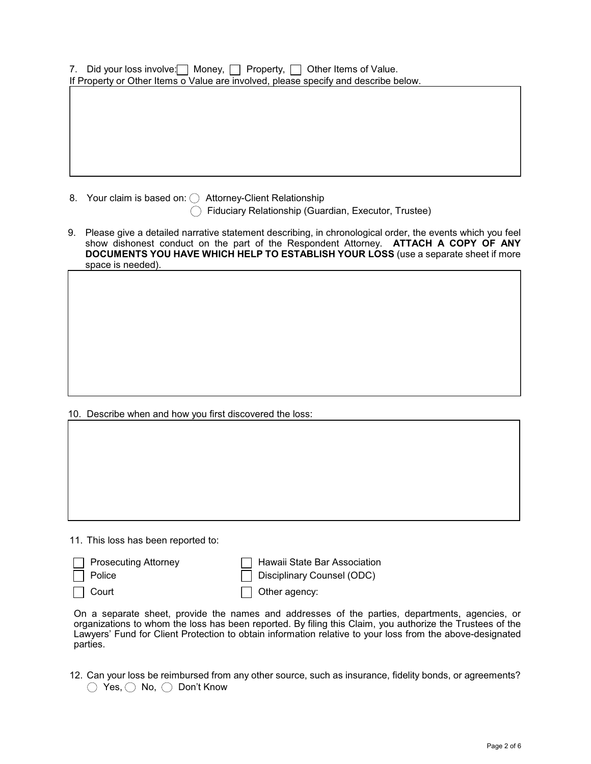|  |  | 7. Did your loss involve: Money, DProperty, DOther Items of Value.                  |  |
|--|--|-------------------------------------------------------------------------------------|--|
|  |  | If Property or Other Items o Value are involved, please specify and describe below. |  |
|  |  |                                                                                     |  |

8. Your claim is based on:  $\bigcirc$  Attorney-Client Relationship

 $\bigcirc$  Fiduciary Relationship (Guardian, Executor, Trustee)

9. Please give a detailed narrative statement describing, in chronological order, the events which you feel show dishonest conduct on the part of the Respondent Attorney. **ATTACH A COPY OF ANY DOCUMENTS YOU HAVE WHICH HELP TO ESTABLISH YOUR LOSS** (use a separate sheet if more space is needed).

10. Describe when and how you first discovered the loss:

11. This loss has been reported to:

| □ Prosecuting Attorney | Hawaii State Bar Association |
|------------------------|------------------------------|
| $\Box$ Police          | Disciplinary Counsel (ODC)   |
| □ Court                | $\Box$ Other agency:         |

On a separate sheet, provide the names and addresses of the parties, departments, agencies, or organizations to whom the loss has been reported. By filing this Claim, you authorize the Trustees of the Lawyers' Fund for Client Protection to obtain information relative to your loss from the above-designated parties.

12. Can your loss be reimbursed from any other source, such as insurance, fidelity bonds, or agreements? ◯ Yes, ◯ No, ◯ Don't Know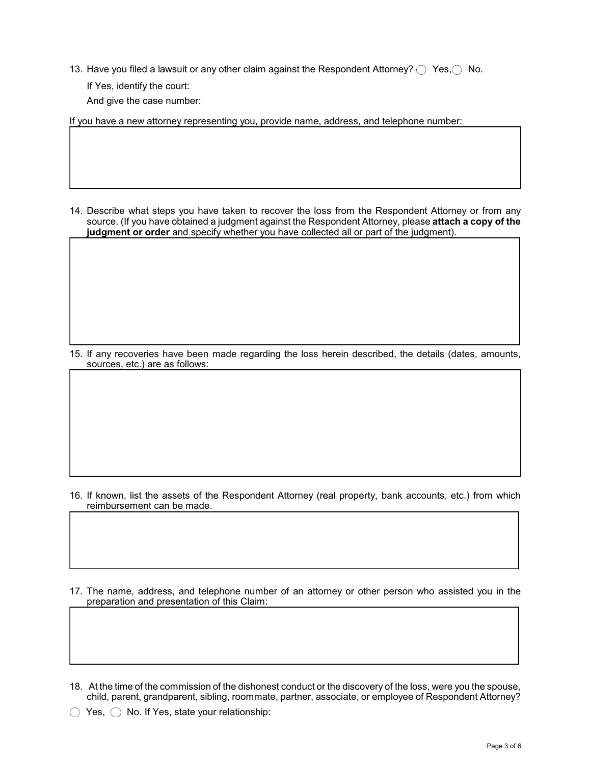13. Have you filed a lawsuit or any other claim against the Respondent Attorney?  $\bigcirc$  Yes,  $\bigcirc$  No.

If Yes, identify the court:

And give the case number:

If you have a new attorney representing you, provide name, address, and telephone number:

14. Describe what steps you have taken to recover the loss from the Respondent Attorney or from any source. (If you have obtained a judgment against the Respondent Attorney, please **attach a copy of the judgment or order** and specify whether you have collected all or part of the judgment).

15. If any recoveries have been made regarding the loss herein described, the details (dates, amounts, sources, etc.) are as follows:

16. If known, list the assets of the Respondent Attorney (real property, bank accounts, etc.) from which reimbursement can be made.

17. The name, address, and telephone number of an attorney or other person who assisted you in the preparation and presentation of this Claim:

18. At the time of the commission of the dishonest conduct or the discovery of the loss, were you the spouse, child, parent, grandparent, sibling, roommate, partner, associate, or employee of Respondent Attorney?

 $\bigcirc$  Yes,  $\bigcirc$  No. If Yes, state your relationship: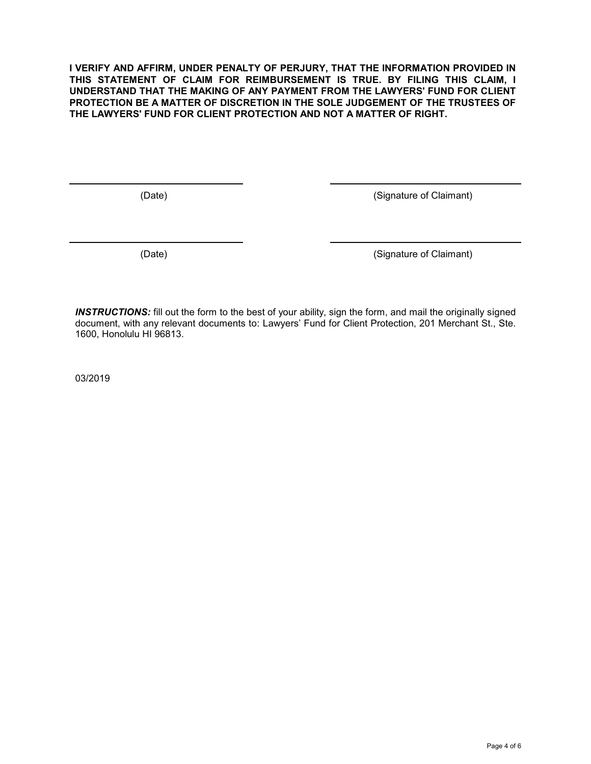**I VERIFY AND AFFIRM, UNDER PENALTY OF PERJURY, THAT THE INFORMATION PROVIDED IN THIS STATEMENT OF CLAIM FOR REIMBURSEMENT IS TRUE. BY FILING THIS CLAIM, I UNDERSTAND THAT THE MAKING OF ANY PAYMENT FROM THE LAWYERS' FUND FOR CLIENT PROTECTION BE A MATTER OF DISCRETION IN THE SOLE JUDGEMENT OF THE TRUSTEES OF THE LAWYERS' FUND FOR CLIENT PROTECTION AND NOT A MATTER OF RIGHT.**

(Date) (Signature of Claimant)

(Date) (Signature of Claimant)

*INSTRUCTIONS:* fill out the form to the best of your ability, sign the form, and mail the originally signed document, with any relevant documents to: Lawyers' Fund for Client Protection, 201 Merchant St., Ste. 1600, Honolulu HI 96813.

03/2019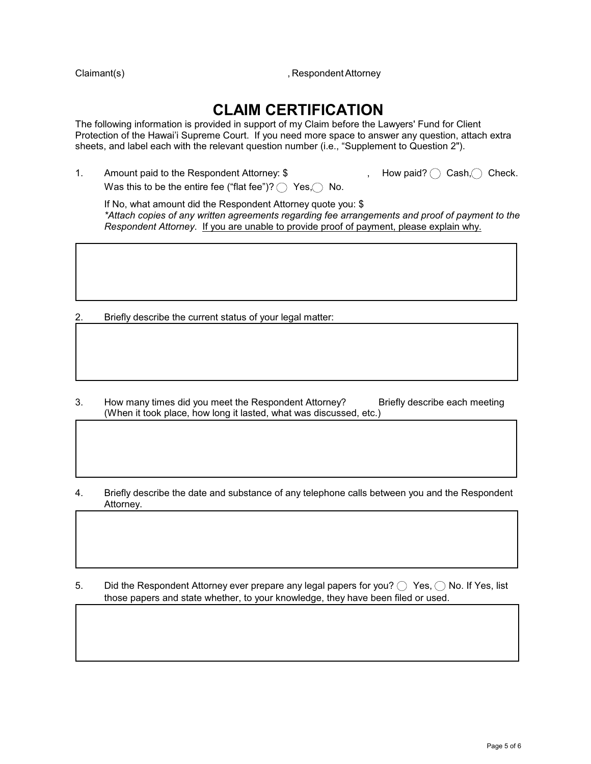Claimant(s) **Claimant Claimant Claimant Claimant Claimant Claimant Claimant Claimant Claimant Claimant Claimant Claimant Claimant Claimant Claimant Claimant Claimant Claimant Claimant**

## **CLAIM CERTIFICATION**

The following information is provided in support of my Claim before the Lawyers' Fund for Client Protection of the Hawai'i Supreme Court. If you need more space to answer any question, attach extra sheets, and label each with the relevant question number (i.e., "Supplement to Question 2").

1. Amount paid to the Respondent Attorney:  $\oint$  , How paid? C Cash, C Check. Was this to be the entire fee ("flat fee")?  $\bigcap$  Yes,  $\bigcap$  No.

If No, what amount did the Respondent Attorney quote you: \$ *\*Attach copies of any written agreements regarding fee arrangements and proof of payment to the Respondent Attorney*. If you are unable to provide proof of payment, please explain why.

2. Briefly describe the current status of your legal matter:

- 3. How many times did you meet the Respondent Attorney? Briefly describe each meeting (When it took place, how long it lasted, what was discussed, etc.)
- 4. Briefly describe the date and substance of any telephone calls between you and the Respondent Attorney.

5. Did the Respondent Attorney ever prepare any legal papers for you?  $\bigcirc$  Yes,  $\bigcirc$  No. If Yes, list those papers and state whether, to your knowledge, they have been filed or used.